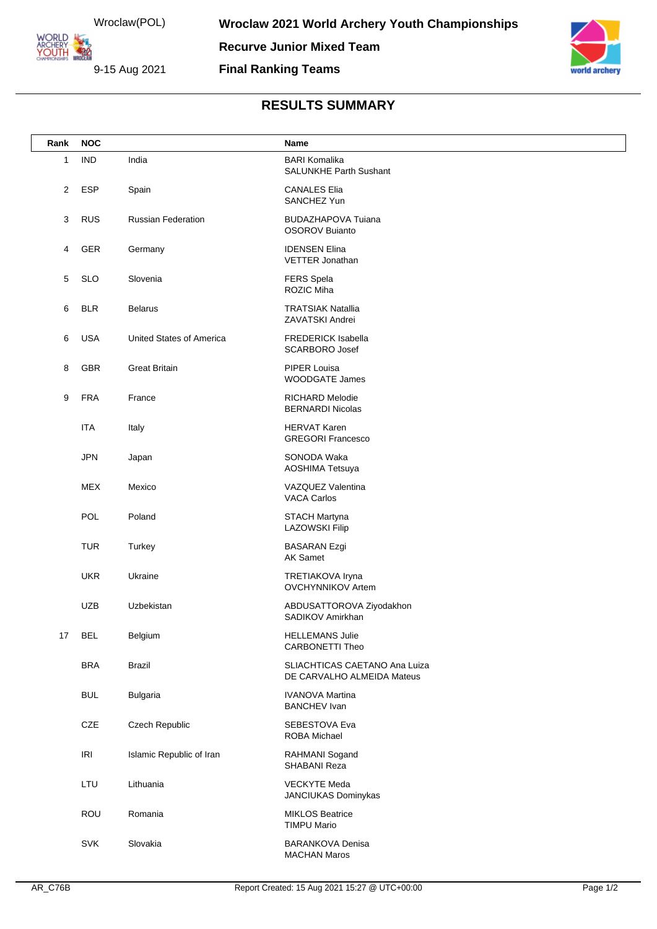Wroclaw(POL) **YOUTH 22** 

**ORLD** 

9-15 Aug 2021

orld archery

## **RESULTS SUMMARY**

**Final Ranking Teams**

| Rank | <b>NOC</b> |                           | Name                                                        |
|------|------------|---------------------------|-------------------------------------------------------------|
| 1    | <b>IND</b> | India                     | <b>BARI Komalika</b><br><b>SALUNKHE Parth Sushant</b>       |
| 2    | <b>ESP</b> | Spain                     | <b>CANALES Elia</b><br>SANCHEZ Yun                          |
| 3    | <b>RUS</b> | <b>Russian Federation</b> | <b>BUDAZHAPOVA Tuiana</b><br><b>OSOROV Buianto</b>          |
| 4    | GER        | Germany                   | <b>IDENSEN Elina</b><br>VETTER Jonathan                     |
| 5    | <b>SLO</b> | Slovenia                  | <b>FERS Spela</b><br>ROZIC Miha                             |
| 6    | <b>BLR</b> | <b>Belarus</b>            | <b>TRATSIAK Natallia</b><br>ZAVATSKI Andrei                 |
| 6    | <b>USA</b> | United States of America  | <b>FREDERICK Isabella</b><br><b>SCARBORO Josef</b>          |
| 8    | GBR        | <b>Great Britain</b>      | <b>PIPER Louisa</b><br><b>WOODGATE James</b>                |
| 9    | <b>FRA</b> | France                    | RICHARD Melodie<br><b>BERNARDI Nicolas</b>                  |
|      | <b>ITA</b> | Italy                     | <b>HERVAT Karen</b><br><b>GREGORI Francesco</b>             |
|      | <b>JPN</b> | Japan                     | SONODA Waka<br>AOSHIMA Tetsuya                              |
|      | <b>MEX</b> | Mexico                    | VAZQUEZ Valentina<br><b>VACA Carlos</b>                     |
|      | POL        | Poland                    | <b>STACH Martyna</b><br><b>LAZOWSKI Filip</b>               |
|      | <b>TUR</b> | Turkey                    | <b>BASARAN Ezgi</b><br><b>AK Samet</b>                      |
|      | <b>UKR</b> | Ukraine                   | TRETIAKOVA Iryna<br><b>OVCHYNNIKOV Artem</b>                |
|      | <b>UZB</b> | Uzbekistan                | ABDUSATTOROVA Ziyodakhon<br>SADIKOV Amirkhan                |
| 17   | <b>BEL</b> | Belgium                   | <b>HELLEMANS Julie</b><br><b>CARBONETTI Theo</b>            |
|      | <b>BRA</b> | Brazil                    | SLIACHTICAS CAETANO Ana Luiza<br>DE CARVALHO ALMEIDA Mateus |
|      | <b>BUL</b> | <b>Bulgaria</b>           | <b>IVANOVA Martina</b><br><b>BANCHEV Ivan</b>               |
|      | CZE        | Czech Republic            | SEBESTOVA Eva<br>ROBA Michael                               |
|      | <b>IRI</b> | Islamic Republic of Iran  | RAHMANI Sogand<br>SHABANI Reza                              |
|      | LTU        | Lithuania                 | <b>VECKYTE Meda</b><br>JANCIUKAS Dominykas                  |
|      | ROU        | Romania                   | <b>MIKLOS Beatrice</b><br><b>TIMPU Mario</b>                |
|      | SVK        | Slovakia                  | <b>BARANKOVA Denisa</b><br><b>MACHAN Maros</b>              |